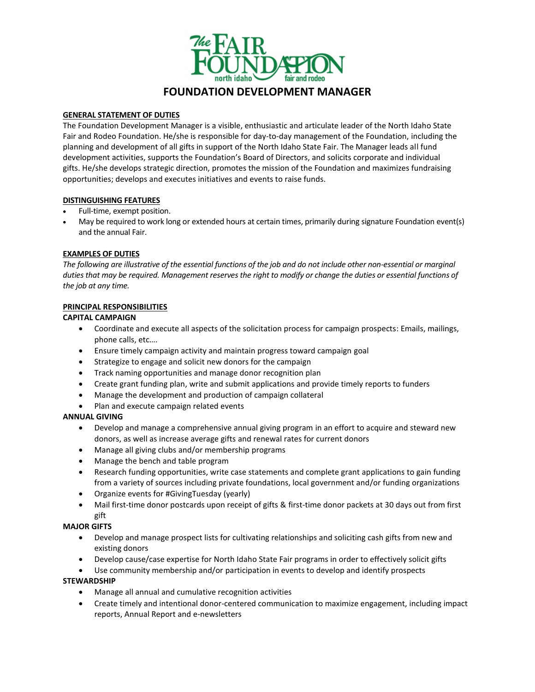

#### **GENERAL STATEMENT OF DUTIES**

The Foundation Development Manager is a visible, enthusiastic and articulate leader of the North Idaho State Fair and Rodeo Foundation. He/she is responsible for day-to-day management of the Foundation, including the planning and development of all gifts in support of the North Idaho State Fair. The Manager leads all fund development activities, supports the Foundation's Board of Directors, and solicits corporate and individual gifts. He/she develops strategic direction, promotes the mission of the Foundation and maximizes fundraising opportunities; develops and executes initiatives and events to raise funds.

#### **DISTINGUISHING FEATURES**

- Full-time, exempt position.
- May be required to work long or extended hours at certain times, primarily during signature Foundation event(s) and the annual Fair.

## **EXAMPLES OF DUTIES**

*The following are illustrative of the essential functions of the job and do not include other non-essential or marginal duties that may be required. Management reserves the right to modify or change the duties or essential functions of the job at any time.*

#### **PRINCIPAL RESPONSIBILITIES**

#### **CAPITAL CAMPAIGN**

- Coordinate and execute all aspects of the solicitation process for campaign prospects: Emails, mailings, phone calls, etc….
- Ensure timely campaign activity and maintain progress toward campaign goal
- Strategize to engage and solicit new donors for the campaign
- Track naming opportunities and manage donor recognition plan
- Create grant funding plan, write and submit applications and provide timely reports to funders
- Manage the development and production of campaign collateral
- Plan and execute campaign related events

## **ANNUAL GIVING**

- Develop and manage a comprehensive annual giving program in an effort to acquire and steward new donors, as well as increase average gifts and renewal rates for current donors
- Manage all giving clubs and/or membership programs
- Manage the bench and table program
- Research funding opportunities, write case statements and complete grant applications to gain funding from a variety of sources including private foundations, local government and/or funding organizations
- Organize events for #GivingTuesday (yearly)
- Mail first-time donor postcards upon receipt of gifts & first-time donor packets at 30 days out from first gift

## **MAJOR GIFTS**

- Develop and manage prospect lists for cultivating relationships and soliciting cash gifts from new and existing donors
- Develop cause/case expertise for North Idaho State Fair programs in order to effectively solicit gifts
- Use community membership and/or participation in events to develop and identify prospects

## **STEWARDSHIP**

- Manage all annual and cumulative recognition activities
- Create timely and intentional donor-centered communication to maximize engagement, including impact reports, Annual Report and e-newsletters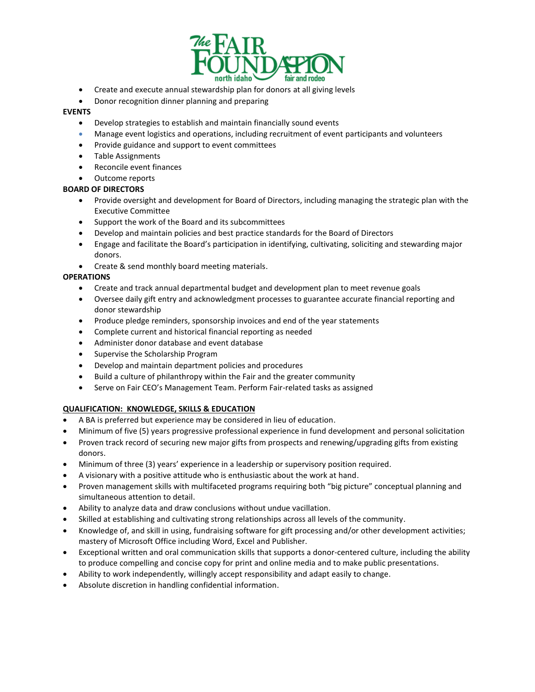

- Create and execute annual stewardship plan for donors at all giving levels
- Donor recognition dinner planning and preparing

## **EVENTS**

- Develop strategies to establish and maintain financially sound events
- Manage event logistics and operations, including recruitment of event participants and volunteers
- Provide guidance and support to event committees
- Table Assignments
- Reconcile event finances
- Outcome reports

#### **BOARD OF DIRECTORS**

- Provide oversight and development for Board of Directors, including managing the strategic plan with the Executive Committee
- Support the work of the Board and its subcommittees
- Develop and maintain policies and best practice standards for the Board of Directors
- Engage and facilitate the Board's participation in identifying, cultivating, soliciting and stewarding major donors.
- Create & send monthly board meeting materials.

## **OPERATIONS**

- Create and track annual departmental budget and development plan to meet revenue goals
- Oversee daily gift entry and acknowledgment processes to guarantee accurate financial reporting and donor stewardship
- Produce pledge reminders, sponsorship invoices and end of the year statements
- Complete current and historical financial reporting as needed
- Administer donor database and event database
- Supervise the Scholarship Program
- Develop and maintain department policies and procedures
- Build a culture of philanthropy within the Fair and the greater community
- Serve on Fair CEO's Management Team. Perform Fair-related tasks as assigned

## **QUALIFICATION: KNOWLEDGE, SKILLS & EDUCATION**

- A BA is preferred but experience may be considered in lieu of education.
- Minimum of five (5) years progressive professional experience in fund development and personal solicitation
- Proven track record of securing new major gifts from prospects and renewing/upgrading gifts from existing donors.
- Minimum of three (3) years' experience in a leadership or supervisory position required.
- A visionary with a positive attitude who is enthusiastic about the work at hand.
- Proven management skills with multifaceted programs requiring both "big picture" conceptual planning and simultaneous attention to detail.
- Ability to analyze data and draw conclusions without undue vacillation.
- Skilled at establishing and cultivating strong relationships across all levels of the community.
- Knowledge of, and skill in using, fundraising software for gift processing and/or other development activities; mastery of Microsoft Office including Word, Excel and Publisher.
- Exceptional written and oral communication skills that supports a donor-centered culture, including the ability to produce compelling and concise copy for print and online media and to make public presentations.
- Ability to work independently, willingly accept responsibility and adapt easily to change.
- Absolute discretion in handling confidential information.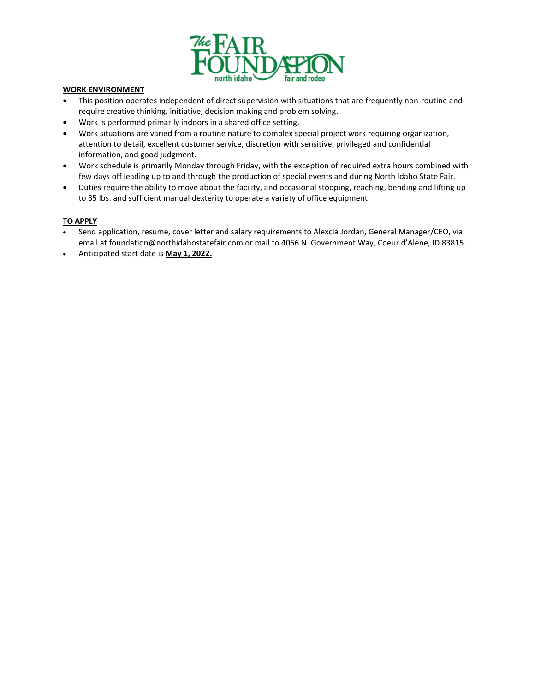

## **WORK ENVIRONMENT**

- This position operates independent of direct supervision with situations that are frequently non-routine and require creative thinking, initiative, decision making and problem solving.
- Work is performed primarily indoors in a shared office setting.
- Work situations are varied from a routine nature to complex special project work requiring organization, attention to detail, excellent customer service, discretion with sensitive, privileged and confidential information, and good judgment.
- Work schedule is primarily Monday through Friday, with the exception of required extra hours combined with few days off leading up to and through the production of special events and during North Idaho State Fair.
- Duties require the ability to move about the facility, and occasional stooping, reaching, bending and lifting up to 35 lbs. and sufficient manual dexterity to operate a variety of office equipment.

## **TO APPLY**

- Send application, resume, cover letter and salary requirements to Alexcia Jordan, General Manager/CEO, via email at foundation@northidahostatefair.com or mail to 4056 N. Government Way, Coeur d'Alene, ID 83815.
- Anticipated start date is **May 1, 2022.**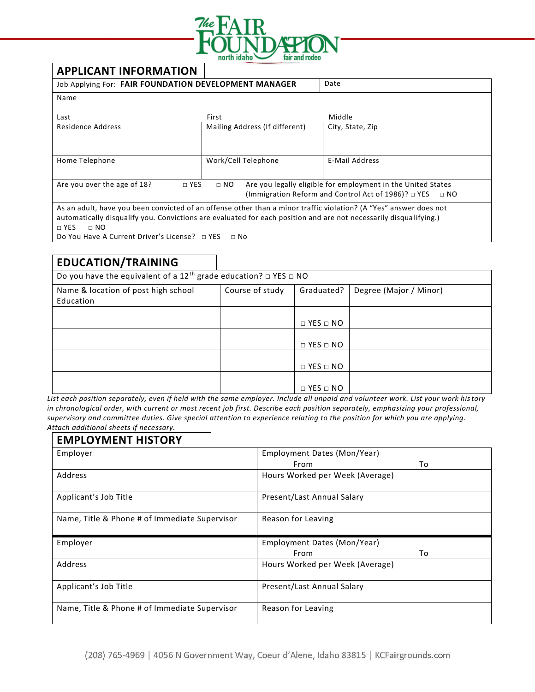

# **APPLICANT INFORMATION**

| Date<br>Job Applying For: FAIR FOUNDATION DEVELOPMENT MANAGER                                                     |                                |                                                                       |                  |  |  |  |
|-------------------------------------------------------------------------------------------------------------------|--------------------------------|-----------------------------------------------------------------------|------------------|--|--|--|
| Name                                                                                                              |                                |                                                                       |                  |  |  |  |
| Last                                                                                                              | First                          |                                                                       | Middle           |  |  |  |
| Residence Address                                                                                                 | Mailing Address (If different) |                                                                       | City, State, Zip |  |  |  |
|                                                                                                                   |                                |                                                                       |                  |  |  |  |
| Home Telephone                                                                                                    | Work/Cell Telephone            |                                                                       | E-Mail Address   |  |  |  |
|                                                                                                                   |                                |                                                                       |                  |  |  |  |
| Are you over the age of 18?<br>$\Box$ NO<br>$\Box$ YES                                                            |                                | Are you legally eligible for employment in the United States          |                  |  |  |  |
|                                                                                                                   |                                | (Immigration Reform and Control Act of 1986)? $\Box$ YES<br>$\Box$ NO |                  |  |  |  |
| As an adult, have you been convicted of an offense other than a minor traffic violation? (A "Yes" answer does not |                                |                                                                       |                  |  |  |  |
| automatically disqualify you. Convictions are evaluated for each position and are not necessarily disqualifying.) |                                |                                                                       |                  |  |  |  |
| $\sqcap$ YES<br>$\sqcap$ NO                                                                                       |                                |                                                                       |                  |  |  |  |
| Do You Have A Current Driver's License? $\Box$ YES<br>$\Box$ No                                                   |                                |                                                                       |                  |  |  |  |

# **EDUCATION/TRAINING**

| Do you have the equivalent of a 12 <sup>th</sup> grade education? $\Box$ YES $\Box$ NO |                 |                      |                        |  |  |  |
|----------------------------------------------------------------------------------------|-----------------|----------------------|------------------------|--|--|--|
| Name & location of post high school                                                    | Course of study | Graduated?           | Degree (Major / Minor) |  |  |  |
| Education                                                                              |                 |                      |                        |  |  |  |
|                                                                                        |                 | $\Box$ YES $\Box$ NO |                        |  |  |  |
|                                                                                        |                 |                      |                        |  |  |  |
|                                                                                        |                 | $\Box$ YES $\Box$ NO |                        |  |  |  |
|                                                                                        |                 | $\Box$ YES $\Box$ NO |                        |  |  |  |
|                                                                                        |                 |                      |                        |  |  |  |
|                                                                                        |                 | $\Box$ YES $\Box$ NO |                        |  |  |  |

*List each position separately, even if held with the same employer. Include all unpaid and volunteer work. List your work history in chronological order, with current or most recent job first. Describe each position separately, emphasizing your professional, supervisory and committee duties. Give special attention to experience relating to the position for which you are applying. Attach additional sheets if necessary.*

# **EMPLOYMENT HISTORY** Employer Employment Dates (Mon/Year) From To Address **Hours Worked per Week (Average)** Applicant's Job Title **Present/Last Annual Salary** Name, Title & Phone # of Immediate Supervisor  $\Box$  Reason for Leaving Employer Employment Dates (Mon/Year) From To Address **Hours Worked per Week (Average)** Applicant's Job Title **Present/Last Annual Salary** Name, Title & Phone # of Immediate Supervisor  $\Box$  Reason for Leaving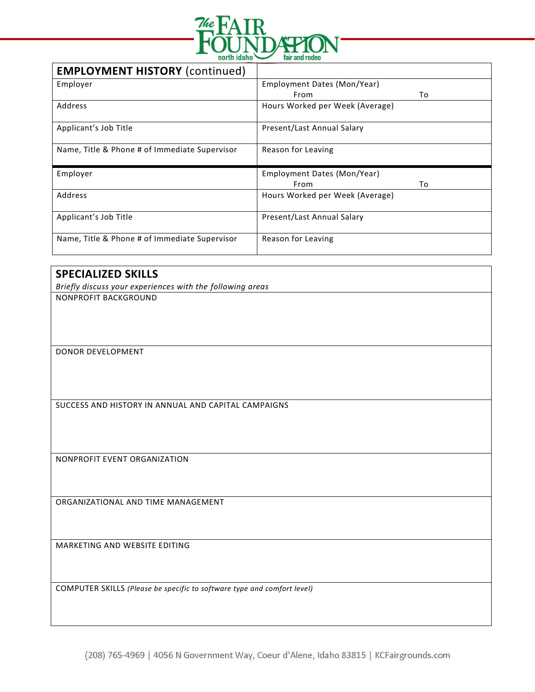

| <b>EMPLOYMENT HISTORY (continued)</b>         |                                 |  |  |
|-----------------------------------------------|---------------------------------|--|--|
| Employer                                      | Employment Dates (Mon/Year)     |  |  |
|                                               | From<br>To                      |  |  |
| Address                                       | Hours Worked per Week (Average) |  |  |
| Applicant's Job Title                         | Present/Last Annual Salary      |  |  |
| Name, Title & Phone # of Immediate Supervisor | Reason for Leaving              |  |  |
| Employer                                      | Employment Dates (Mon/Year)     |  |  |
|                                               | To<br>From                      |  |  |
| Address                                       | Hours Worked per Week (Average) |  |  |
| Applicant's Job Title                         | Present/Last Annual Salary      |  |  |
| Name, Title & Phone # of Immediate Supervisor | Reason for Leaving              |  |  |

# **SPECIALIZED SKILLS**

*Briefly discuss your experiences with the following areas* NONPROFIT BACKGROUND

DONOR DEVELOPMENT

SUCCESS AND HISTORY IN ANNUAL AND CAPITAL CAMPAIGNS

NONPROFIT EVENT ORGANIZATION

ORGANIZATIONAL AND TIME MANAGEMENT

MARKETING AND WEBSITE EDITING

COMPUTER SKILLS *(Please be specific to software type and comfort level)*